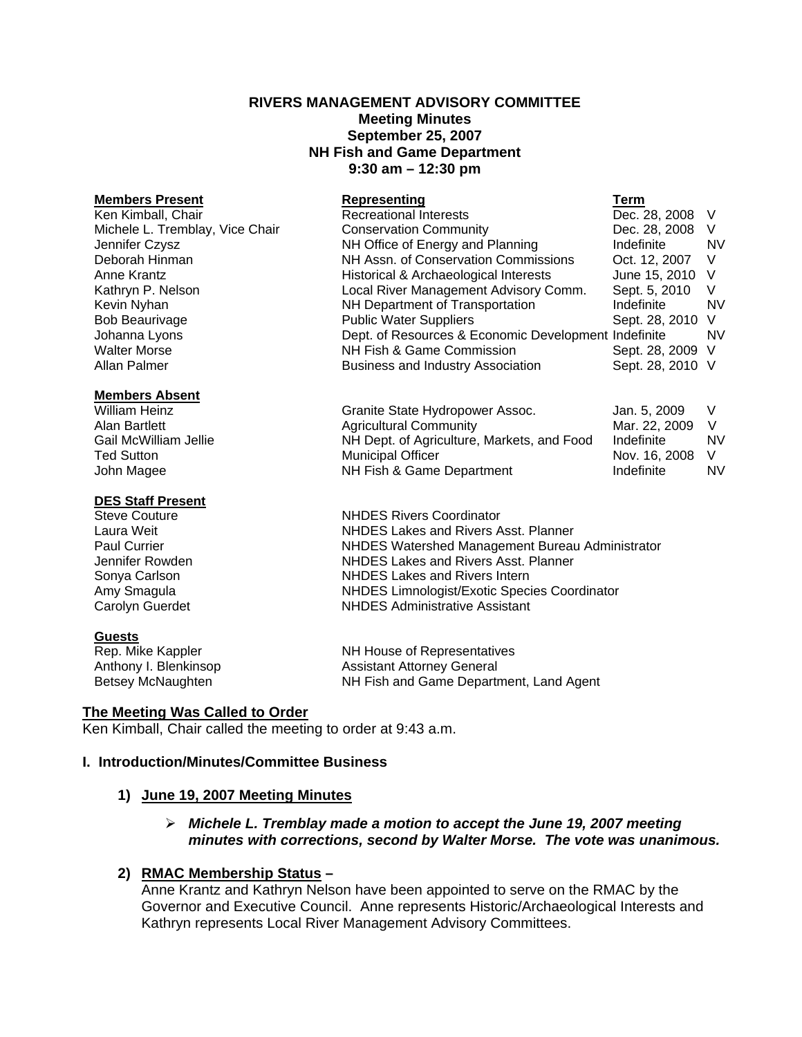## **RIVERS MANAGEMENT ADVISORY COMMITTEE Meeting Minutes September 25, 2007 NH Fish and Game Department 9:30 am – 12:30 pm**

**Members Present Representing Term** Ken Kimball, Chair **Recreational Interests** Michele L. Tremblay, Vice Chair Conservation Community Conservation Community Dec. 28, 2008 V Jennifer Czysz NH Office of Energy and Planning Indefinite NV Deborah Hinman NH Assn. of Conservation Commissions Oct. 12, 2007 V Anne Krantz **Historical & Archaeological Interests** June 15, 2010 V Kathryn P. Nelson **Local River Management Advisory Comm.** Sept. 5, 2010 V Kevin Nyhan **NH Department of Transportation** Indefinite NV Bob Beaurivage The Public Water Suppliers Communic Sept. 28, 2010 V Johanna Lyons Dept. of Resources & Economic Development Indefinite NV Walter Morse **NH Fish & Game Commission** Sept. 28, 2009 V Allan Palmer **Business and Industry Association** Sept. 28, 2010 V

#### **Members Absent**

Ted Sutton **Municipal Officer** The Sutton Municipal Officer Nov. 16, 2008 V John Magee **NH Fish & Game Department** Indefinite NV

#### **DES Staff Present**

**Guests**<br>Rep. Mike Kappler

Steve Couture **NHDES Rivers Coordinator** Laura Weit NHDES Lakes and Rivers Asst. Planner Paul Currier New States Currier NHDES Watershed Management Bureau Administrator<br>
NHDES Lakes and Rivers Asst. Planner NHDES Lakes and Rivers Asst. Planner Sonya Carlson **NHDES** Lakes and Rivers Intern Amy Smagula **NHDES** Limnologist/Exotic Species Coordinator

Carolyn Guerdet NHDES Administrative Assistant

NH House of Representatives Anthony I. Blenkinsop **Assistant Attorney General** Betsey McNaughten **NH Fish and Game Department, Land Agent** 

## **The Meeting Was Called to Order**

Ken Kimball, Chair called the meeting to order at 9:43 a.m.

# **I. Introduction/Minutes/Committee Business**

## **1) June 19, 2007 Meeting Minutes**

## ¾ *Michele L. Tremblay made a motion to accept the June 19, 2007 meeting minutes with corrections, second by Walter Morse. The vote was unanimous.*

# **2) RMAC Membership Status –**

Anne Krantz and Kathryn Nelson have been appointed to serve on the RMAC by the Governor and Executive Council. Anne represents Historic/Archaeological Interests and Kathryn represents Local River Management Advisory Committees.

William Heinz **Granite State Hydropower Assoc.** Jan. 5, 2009 V Alan Bartlett **Martlett** Agricultural Community Mar. 22, 2009 V<br>Gail McWilliam Jellie **Marticulture Market Markets** and Food Indefinite M NH Dept. of Agriculture, Markets, and Food Indefinite NV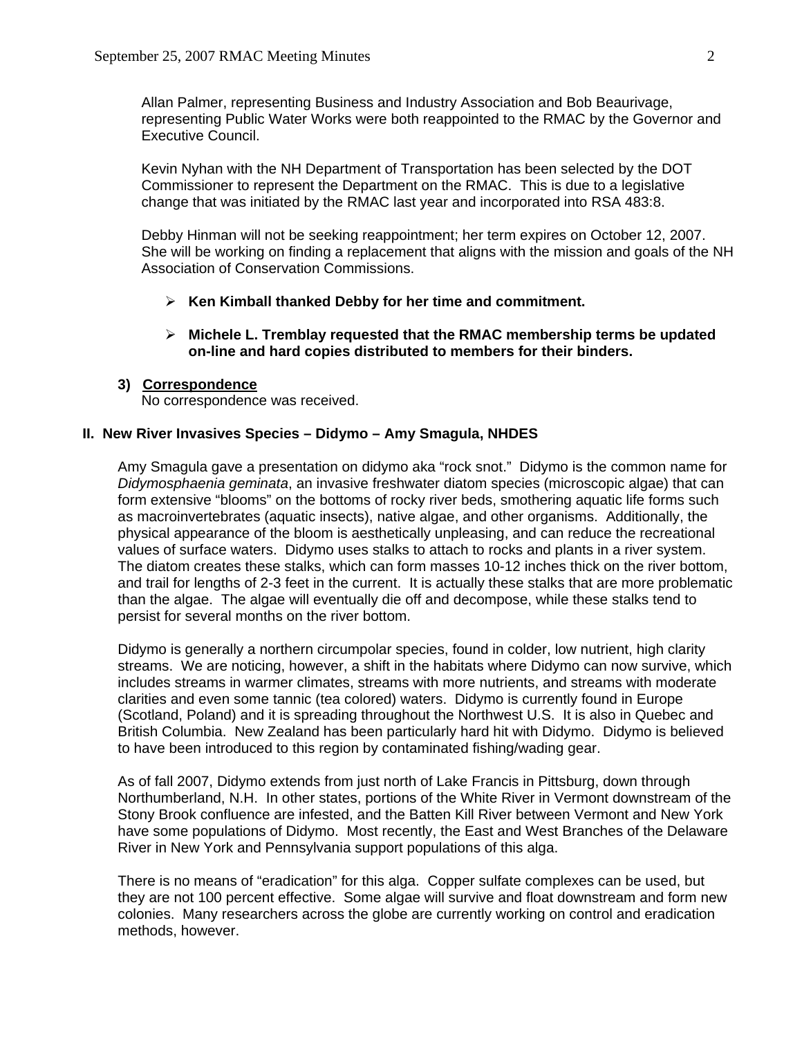Allan Palmer, representing Business and Industry Association and Bob Beaurivage, representing Public Water Works were both reappointed to the RMAC by the Governor and Executive Council.

Kevin Nyhan with the NH Department of Transportation has been selected by the DOT Commissioner to represent the Department on the RMAC. This is due to a legislative change that was initiated by the RMAC last year and incorporated into RSA 483:8.

Debby Hinman will not be seeking reappointment; her term expires on October 12, 2007. She will be working on finding a replacement that aligns with the mission and goals of the NH Association of Conservation Commissions.

- ¾ **Ken Kimball thanked Debby for her time and commitment.**
- ¾ **Michele L. Tremblay requested that the RMAC membership terms be updated on-line and hard copies distributed to members for their binders.**

## **3) Correspondence**

No correspondence was received.

### **II. New River Invasives Species – Didymo – Amy Smagula, NHDES**

Amy Smagula gave a presentation on didymo aka "rock snot." Didymo is the common name for *Didymosphaenia geminata*, an invasive freshwater diatom species (microscopic algae) that can form extensive "blooms" on the bottoms of rocky river beds, smothering aquatic life forms such as macroinvertebrates (aquatic insects), native algae, and other organisms. Additionally, the physical appearance of the bloom is aesthetically unpleasing, and can reduce the recreational values of surface waters. Didymo uses stalks to attach to rocks and plants in a river system. The diatom creates these stalks, which can form masses 10-12 inches thick on the river bottom, and trail for lengths of 2-3 feet in the current. It is actually these stalks that are more problematic than the algae. The algae will eventually die off and decompose, while these stalks tend to persist for several months on the river bottom.

Didymo is generally a northern circumpolar species, found in colder, low nutrient, high clarity streams. We are noticing, however, a shift in the habitats where Didymo can now survive, which includes streams in warmer climates, streams with more nutrients, and streams with moderate clarities and even some tannic (tea colored) waters. Didymo is currently found in Europe (Scotland, Poland) and it is spreading throughout the Northwest U.S. It is also in Quebec and British Columbia. New Zealand has been particularly hard hit with Didymo. Didymo is believed to have been introduced to this region by contaminated fishing/wading gear.

As of fall 2007, Didymo extends from just north of Lake Francis in Pittsburg, down through Northumberland, N.H. In other states, portions of the White River in Vermont downstream of the Stony Brook confluence are infested, and the Batten Kill River between Vermont and New York have some populations of Didymo. Most recently, the East and West Branches of the Delaware River in New York and Pennsylvania support populations of this alga.

There is no means of "eradication" for this alga. Copper sulfate complexes can be used, but they are not 100 percent effective. Some algae will survive and float downstream and form new colonies. Many researchers across the globe are currently working on control and eradication methods, however.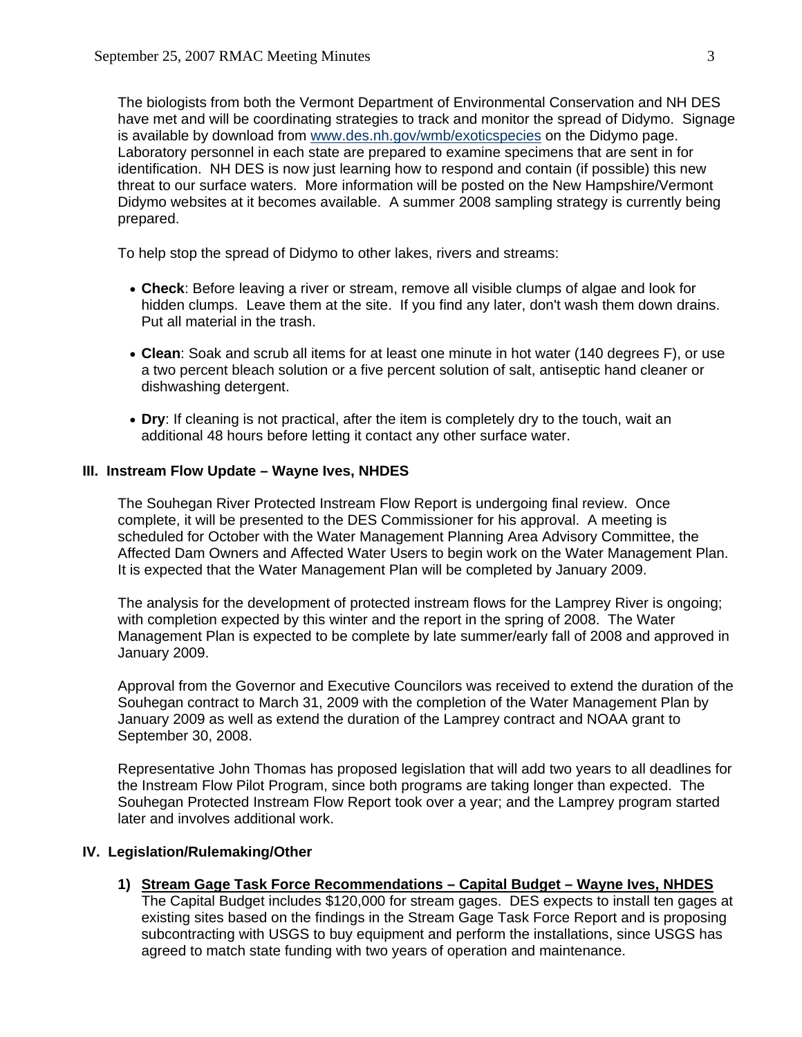The biologists from both the Vermont Department of Environmental Conservation and NH DES have met and will be coordinating strategies to track and monitor the spread of Didymo. Signage is available by download from [www.des.nh.gov/wmb/exoticspecies](http://www.des.nh.gov/wmb/exoticspecies) on the Didymo page. Laboratory personnel in each state are prepared to examine specimens that are sent in for identification. NH DES is now just learning how to respond and contain (if possible) this new threat to our surface waters. More information will be posted on the New Hampshire/Vermont Didymo websites at it becomes available. A summer 2008 sampling strategy is currently being prepared.

To help stop the spread of Didymo to other lakes, rivers and streams:

- **Check**: Before leaving a river or stream, remove all visible clumps of algae and look for hidden clumps. Leave them at the site. If you find any later, don't wash them down drains. Put all material in the trash.
- **Clean**: Soak and scrub all items for at least one minute in hot water (140 degrees F), or use a two percent bleach solution or a five percent solution of salt, antiseptic hand cleaner or dishwashing detergent.
- **Dry**: If cleaning is not practical, after the item is completely dry to the touch, wait an additional 48 hours before letting it contact any other surface water.

## **III. Instream Flow Update – Wayne Ives, NHDES**

The Souhegan River Protected Instream Flow Report is undergoing final review. Once complete, it will be presented to the DES Commissioner for his approval. A meeting is scheduled for October with the Water Management Planning Area Advisory Committee, the Affected Dam Owners and Affected Water Users to begin work on the Water Management Plan. It is expected that the Water Management Plan will be completed by January 2009.

The analysis for the development of protected instream flows for the Lamprey River is ongoing; with completion expected by this winter and the report in the spring of 2008. The Water Management Plan is expected to be complete by late summer/early fall of 2008 and approved in January 2009.

Approval from the Governor and Executive Councilors was received to extend the duration of the Souhegan contract to March 31, 2009 with the completion of the Water Management Plan by January 2009 as well as extend the duration of the Lamprey contract and NOAA grant to September 30, 2008.

Representative John Thomas has proposed legislation that will add two years to all deadlines for the Instream Flow Pilot Program, since both programs are taking longer than expected. The Souhegan Protected Instream Flow Report took over a year; and the Lamprey program started later and involves additional work.

## **IV. Legislation/Rulemaking/Other**

- **1) Stream Gage Task Force Recommendations Capital Budget Wayne Ives, NHDES**
	- The Capital Budget includes \$120,000 for stream gages. DES expects to install ten gages at existing sites based on the findings in the Stream Gage Task Force Report and is proposing subcontracting with USGS to buy equipment and perform the installations, since USGS has agreed to match state funding with two years of operation and maintenance.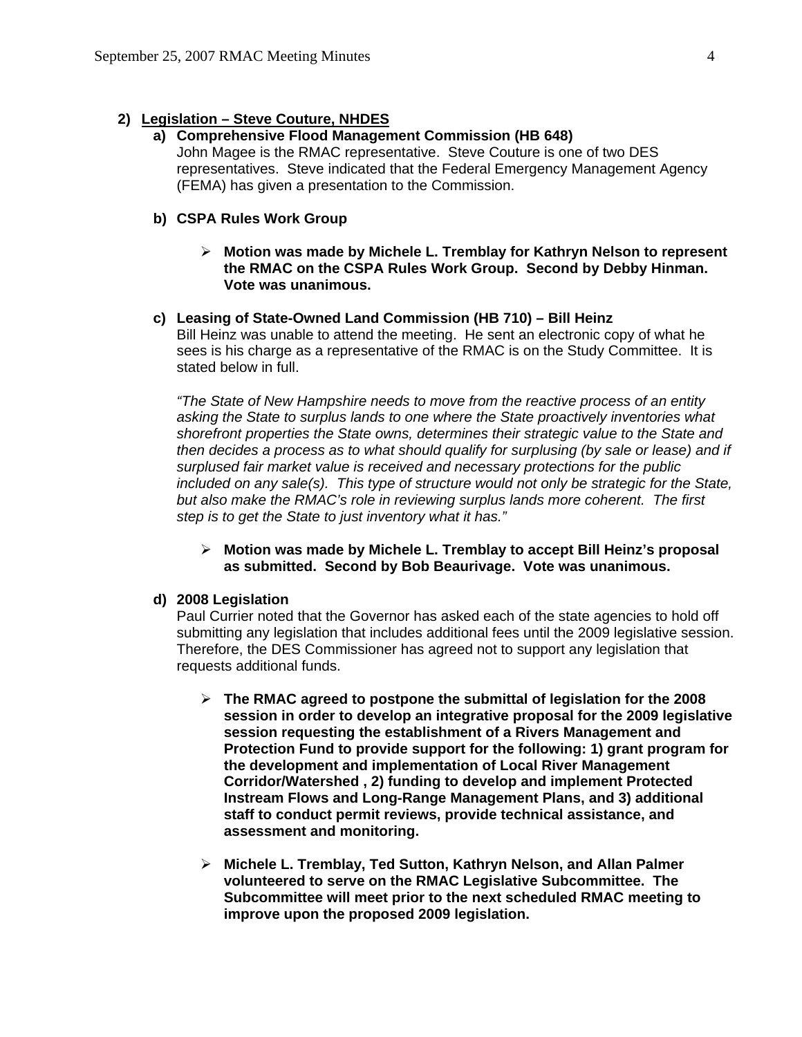# **2) Legislation – Steve Couture, NHDES**

# **a) Comprehensive Flood Management Commission (HB 648)**

John Magee is the RMAC representative. Steve Couture is one of two DES representatives. Steve indicated that the Federal Emergency Management Agency (FEMA) has given a presentation to the Commission.

# **b) CSPA Rules Work Group**

¾ **Motion was made by Michele L. Tremblay for Kathryn Nelson to represent the RMAC on the CSPA Rules Work Group. Second by Debby Hinman. Vote was unanimous.** 

### **c) Leasing of State-Owned Land Commission (HB 710) – Bill Heinz**

Bill Heinz was unable to attend the meeting. He sent an electronic copy of what he sees is his charge as a representative of the RMAC is on the Study Committee. It is stated below in full.

*"The State of New Hampshire needs to move from the reactive process of an entity asking the State to surplus lands to one where the State proactively inventories what shorefront properties the State owns, determines their strategic value to the State and then decides a process as to what should qualify for surplusing (by sale or lease) and if surplused fair market value is received and necessary protections for the public included on any sale(s). This type of structure would not only be strategic for the State, but also make the RMAC's role in reviewing surplus lands more coherent. The first step is to get the State to just inventory what it has."* 

# ¾ **Motion was made by Michele L. Tremblay to accept Bill Heinz's proposal as submitted. Second by Bob Beaurivage. Vote was unanimous.**

## **d) 2008 Legislation**

Paul Currier noted that the Governor has asked each of the state agencies to hold off submitting any legislation that includes additional fees until the 2009 legislative session. Therefore, the DES Commissioner has agreed not to support any legislation that requests additional funds.

- ¾ **The RMAC agreed to postpone the submittal of legislation for the 2008 session in order to develop an integrative proposal for the 2009 legislative session requesting the establishment of a Rivers Management and Protection Fund to provide support for the following: 1) grant program for the development and implementation of Local River Management Corridor/Watershed , 2) funding to develop and implement Protected Instream Flows and Long-Range Management Plans, and 3) additional staff to conduct permit reviews, provide technical assistance, and assessment and monitoring.**
- ¾ **Michele L. Tremblay, Ted Sutton, Kathryn Nelson, and Allan Palmer volunteered to serve on the RMAC Legislative Subcommittee. The Subcommittee will meet prior to the next scheduled RMAC meeting to improve upon the proposed 2009 legislation.**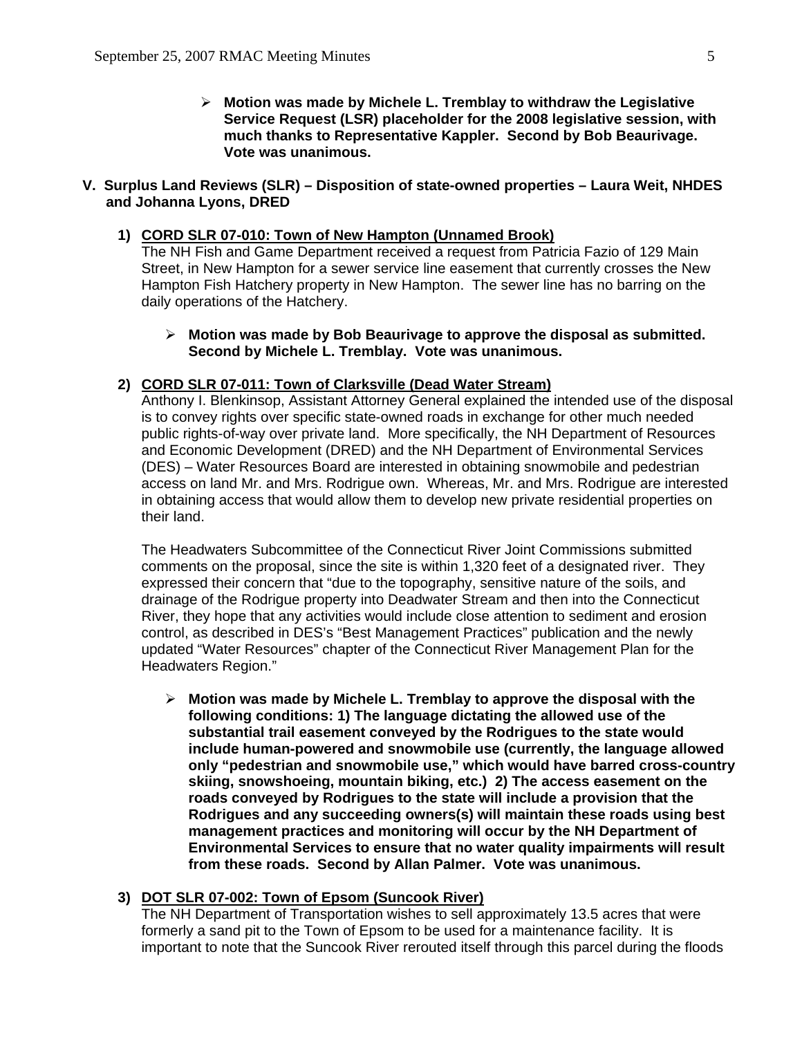¾ **Motion was made by Michele L. Tremblay to withdraw the Legislative Service Request (LSR) placeholder for the 2008 legislative session, with much thanks to Representative Kappler. Second by Bob Beaurivage. Vote was unanimous.**

### **V. Surplus Land Reviews (SLR) – Disposition of state-owned properties – Laura Weit, NHDES and Johanna Lyons, DRED**

# **1) CORD SLR 07-010: Town of New Hampton (Unnamed Brook)**

The NH Fish and Game Department received a request from Patricia Fazio of 129 Main Street, in New Hampton for a sewer service line easement that currently crosses the New Hampton Fish Hatchery property in New Hampton. The sewer line has no barring on the daily operations of the Hatchery.

¾ **Motion was made by Bob Beaurivage to approve the disposal as submitted. Second by Michele L. Tremblay. Vote was unanimous.** 

## **2) CORD SLR 07-011: Town of Clarksville (Dead Water Stream)**

Anthony I. Blenkinsop, Assistant Attorney General explained the intended use of the disposal is to convey rights over specific state-owned roads in exchange for other much needed public rights-of-way over private land. More specifically, the NH Department of Resources and Economic Development (DRED) and the NH Department of Environmental Services (DES) – Water Resources Board are interested in obtaining snowmobile and pedestrian access on land Mr. and Mrs. Rodrigue own. Whereas, Mr. and Mrs. Rodrigue are interested in obtaining access that would allow them to develop new private residential properties on their land.

The Headwaters Subcommittee of the Connecticut River Joint Commissions submitted comments on the proposal, since the site is within 1,320 feet of a designated river. They expressed their concern that "due to the topography, sensitive nature of the soils, and drainage of the Rodrigue property into Deadwater Stream and then into the Connecticut River, they hope that any activities would include close attention to sediment and erosion control, as described in DES's "Best Management Practices" publication and the newly updated "Water Resources" chapter of the Connecticut River Management Plan for the Headwaters Region."

¾ **Motion was made by Michele L. Tremblay to approve the disposal with the following conditions: 1) The language dictating the allowed use of the substantial trail easement conveyed by the Rodrigues to the state would include human-powered and snowmobile use (currently, the language allowed only "pedestrian and snowmobile use," which would have barred cross-country skiing, snowshoeing, mountain biking, etc.) 2) The access easement on the roads conveyed by Rodrigues to the state will include a provision that the Rodrigues and any succeeding owners(s) will maintain these roads using best management practices and monitoring will occur by the NH Department of Environmental Services to ensure that no water quality impairments will result from these roads. Second by Allan Palmer. Vote was unanimous.** 

### **3) DOT SLR 07-002: Town of Epsom (Suncook River)**

The NH Department of Transportation wishes to sell approximately 13.5 acres that were formerly a sand pit to the Town of Epsom to be used for a maintenance facility. It is important to note that the Suncook River rerouted itself through this parcel during the floods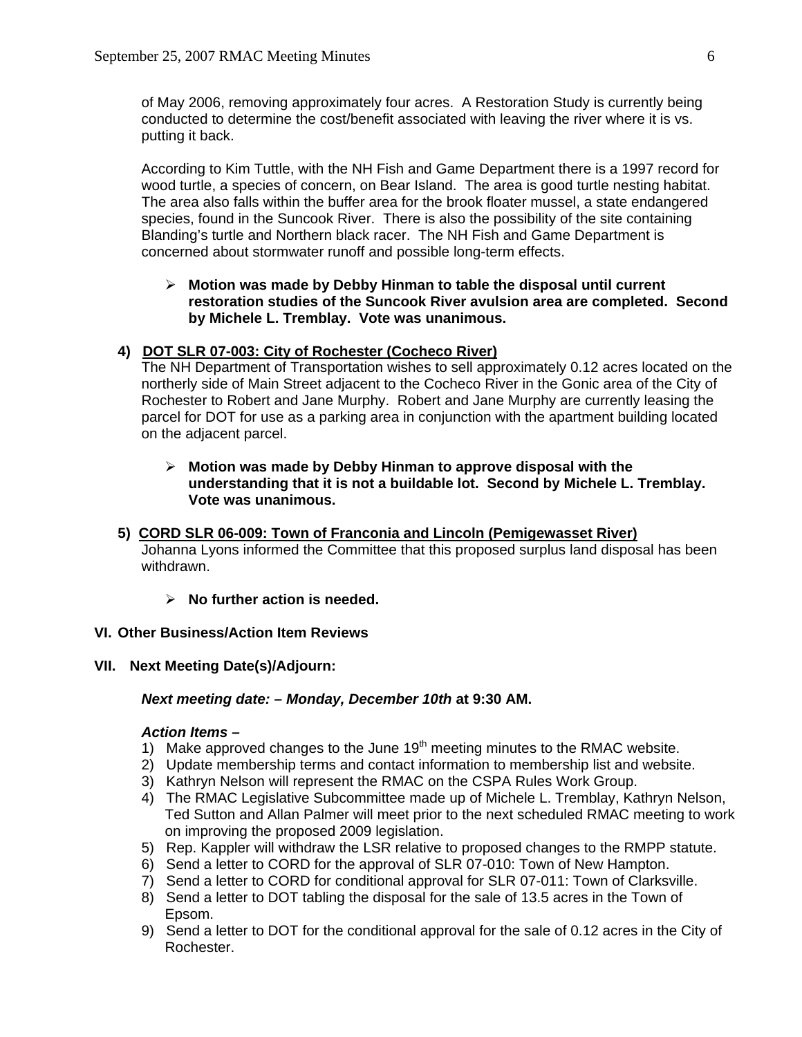of May 2006, removing approximately four acres. A Restoration Study is currently being conducted to determine the cost/benefit associated with leaving the river where it is vs. putting it back.

According to Kim Tuttle, with the NH Fish and Game Department there is a 1997 record for wood turtle, a species of concern, on Bear Island. The area is good turtle nesting habitat. The area also falls within the buffer area for the brook floater mussel, a state endangered species, found in the Suncook River. There is also the possibility of the site containing Blanding's turtle and Northern black racer. The NH Fish and Game Department is concerned about stormwater runoff and possible long-term effects.

# ¾ **Motion was made by Debby Hinman to table the disposal until current restoration studies of the Suncook River avulsion area are completed. Second by Michele L. Tremblay. Vote was unanimous.**

# **4) DOT SLR 07-003: City of Rochester (Cocheco River)**

The NH Department of Transportation wishes to sell approximately 0.12 acres located on the northerly side of Main Street adjacent to the Cocheco River in the Gonic area of the City of Rochester to Robert and Jane Murphy. Robert and Jane Murphy are currently leasing the parcel for DOT for use as a parking area in conjunction with the apartment building located on the adjacent parcel.

## ¾ **Motion was made by Debby Hinman to approve disposal with the understanding that it is not a buildable lot. Second by Michele L. Tremblay. Vote was unanimous.**

- **5) CORD SLR 06-009: Town of Franconia and Lincoln (Pemigewasset River)**  Johanna Lyons informed the Committee that this proposed surplus land disposal has been withdrawn.
	- ¾ **No further action is needed.**

## **VI. Other Business/Action Item Reviews**

## **VII. Next Meeting Date(s)/Adjourn:**

#### *Next meeting date: – Monday, December 10th* **at 9:30 AM.**

## *Action Items –*

- 1) Make approved changes to the June  $19<sup>th</sup>$  meeting minutes to the RMAC website.
- 2) Update membership terms and contact information to membership list and website.
- 3) Kathryn Nelson will represent the RMAC on the CSPA Rules Work Group.
- 4) The RMAC Legislative Subcommittee made up of Michele L. Tremblay, Kathryn Nelson, Ted Sutton and Allan Palmer will meet prior to the next scheduled RMAC meeting to work on improving the proposed 2009 legislation.
- 5) Rep. Kappler will withdraw the LSR relative to proposed changes to the RMPP statute.
- 6) Send a letter to CORD for the approval of SLR 07-010: Town of New Hampton.
- 7) Send a letter to CORD for conditional approval for SLR 07-011: Town of Clarksville.
- 8) Send a letter to DOT tabling the disposal for the sale of 13.5 acres in the Town of Epsom.
- 9) Send a letter to DOT for the conditional approval for the sale of 0.12 acres in the City of Rochester.